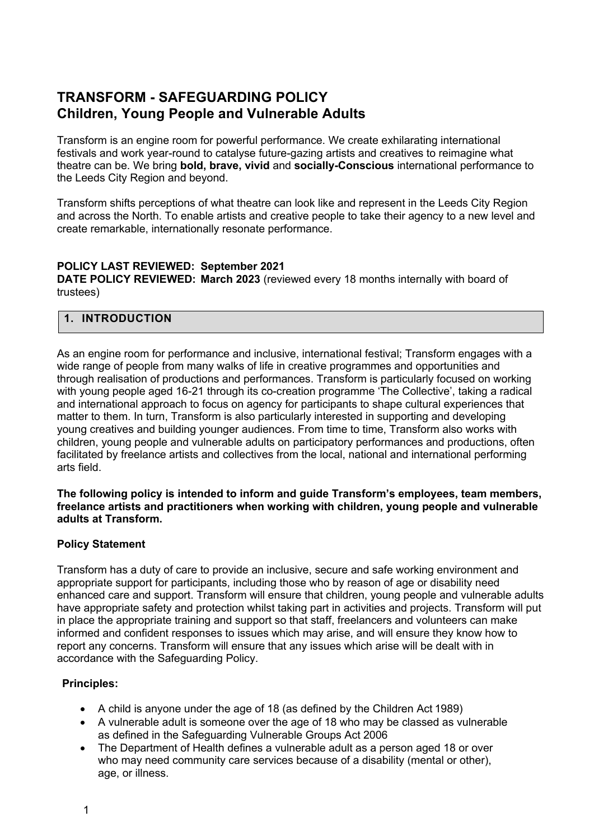# **TRANSFORM - SAFEGUARDING POLICY Children, Young People and Vulnerable Adults**

Transform is an engine room for powerful performance. We create exhilarating international festivals and work year-round to catalyse future-gazing artists and creatives to reimagine what theatre can be. We bring **bold, brave, vivid** and **socially-Conscious** international performance to the Leeds City Region and beyond.

Transform shifts perceptions of what theatre can look like and represent in the Leeds City Region and across the North. To enable artists and creative people to take their agency to a new level and create remarkable, internationally resonate performance.

### **POLICY LAST REVIEWED: September 2021**

**DATE POLICY REVIEWED: March 2023** (reviewed every 18 months internally with board of trustees)

### **1. INTRODUCTION**

As an engine room for performance and inclusive, international festival; Transform engages with a wide range of people from many walks of life in creative programmes and opportunities and through realisation of productions and performances. Transform is particularly focused on working with young people aged 16-21 through its co-creation programme 'The Collective', taking a radical and international approach to focus on agency for participants to shape cultural experiences that matter to them. In turn, Transform is also particularly interested in supporting and developing young creatives and building younger audiences. From time to time, Transform also works with children, young people and vulnerable adults on participatory performances and productions, often facilitated by freelance artists and collectives from the local, national and international performing arts field.

#### **The following policy is intended to inform and guide Transform's employees, team members, freelance artists and practitioners when working with children, young people and vulnerable adults at Transform.**

### **Policy Statement**

Transform has a duty of care to provide an inclusive, secure and safe working environment and appropriate support for participants, including those who by reason of age or disability need enhanced care and support. Transform will ensure that children, young people and vulnerable adults have appropriate safety and protection whilst taking part in activities and projects. Transform will put in place the appropriate training and support so that staff, freelancers and volunteers can make informed and confident responses to issues which may arise, and will ensure they know how to report any concerns. Transform will ensure that any issues which arise will be dealt with in accordance with the Safeguarding Policy.

### **Principles:**

- A child is anyone under the age of 18 (as defined by the Children Act 1989)
- A vulnerable adult is someone over the age of 18 who may be classed as vulnerable as defined in the Safeguarding Vulnerable Groups Act 2006
- The Department of Health defines a vulnerable adult as a person aged 18 or over who may need community care services because of a disability (mental or other), age, or illness.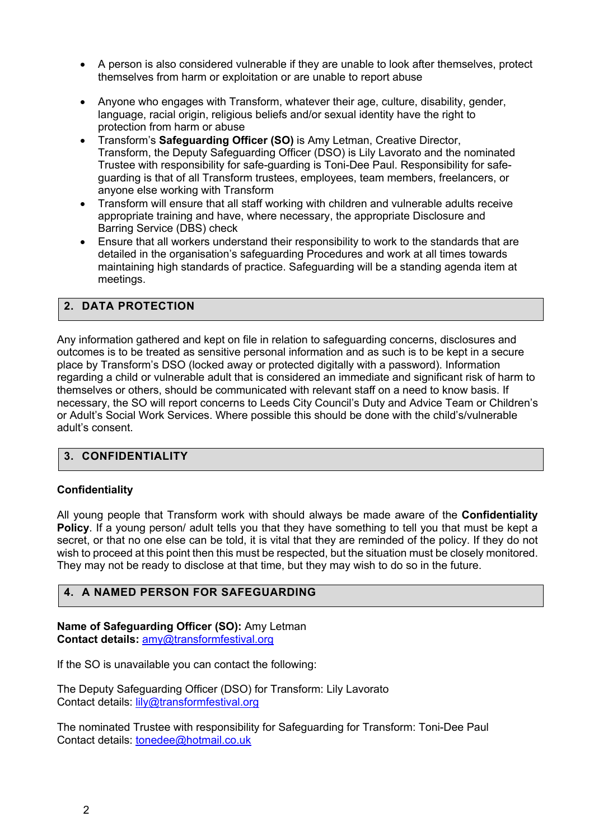- A person is also considered vulnerable if they are unable to look after themselves, protect themselves from harm or exploitation or are unable to report abuse
- Anyone who engages with Transform, whatever their age, culture, disability, gender, language, racial origin, religious beliefs and/or sexual identity have the right to protection from harm or abuse
- Transform's **Safeguarding Officer (SO)** is Amy Letman, Creative Director, Transform, the Deputy Safeguarding Officer (DSO) is Lily Lavorato and the nominated Trustee with responsibility for safe-guarding is Toni-Dee Paul. Responsibility for safeguarding is that of all Transform trustees, employees, team members, freelancers, or anyone else working with Transform
- Transform will ensure that all staff working with children and vulnerable adults receive appropriate training and have, where necessary, the appropriate Disclosure and Barring Service (DBS) check
- Ensure that all workers understand their responsibility to work to the standards that are detailed in the organisation's safeguarding Procedures and work at all times towards maintaining high standards of practice. Safeguarding will be a standing agenda item at meetings.

### **2. DATA PROTECTION**

Any information gathered and kept on file in relation to safeguarding concerns, disclosures and outcomes is to be treated as sensitive personal information and as such is to be kept in a secure place by Transform's DSO (locked away or protected digitally with a password). Information regarding a child or vulnerable adult that is considered an immediate and significant risk of harm to themselves or others, should be communicated with relevant staff on a need to know basis. If necessary, the SO will report concerns to Leeds City Council's Duty and Advice Team or Children's or Adult's Social Work Services. Where possible this should be done with the child's/vulnerable adult's consent.

### **3. CONFIDENTIALITY**

### **Confidentiality**

All young people that Transform work with should always be made aware of the **Confidentiality Policy**. If a young person/ adult tells you that they have something to tell you that must be kept a secret, or that no one else can be told, it is vital that they are reminded of the policy. If they do not wish to proceed at this point then this must be respected, but the situation must be closely monitored. They may not be ready to disclose at that time, but they may wish to do so in the future.

### **4. A NAMED PERSON FOR SAFEGUARDING**

**Name of Safeguarding Officer (SO):** Amy Letman **Contact details:** amy@transformfestival.org

If the SO is unavailable you can contact the following:

The Deputy Safeguarding Officer (DSO) for Transform: Lily Lavorato Contact details: lily@transformfestival.org

The nominated Trustee with responsibility for Safeguarding for Transform: Toni-Dee Paul Contact details: tonedee@hotmail.co.uk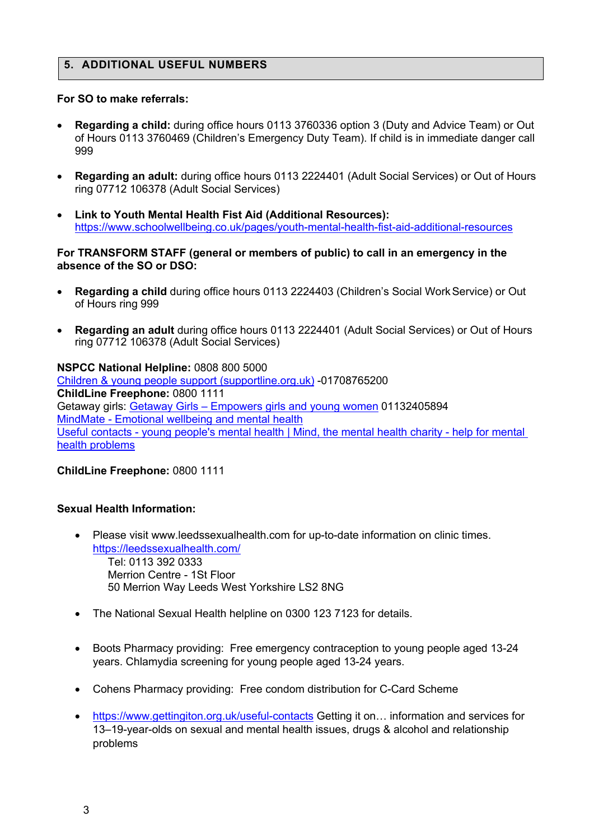### **5. ADDITIONAL USEFUL NUMBERS**

#### **For SO to make referrals:**

- **Regarding a child:** during office hours 0113 3760336 option 3 (Duty and Advice Team) or Out of Hours 0113 3760469 (Children's Emergency Duty Team). If child is in immediate danger call 999
- **Regarding an adult:** during office hours 0113 2224401 (Adult Social Services) or Out of Hours ring 07712 106378 (Adult Social Services)
- **Link to Youth Mental Health Fist Aid (Additional Resources):**  https://www.schoolwellbeing.co.uk/pages/youth-mental-health-fist-aid-additional-resources

#### **For TRANSFORM STAFF (general or members of public) to call in an emergency in the absence of the SO or DSO:**

- **Regarding a child** during office hours 0113 2224403 (Children's Social WorkService) or Out of Hours ring 999
- **Regarding an adult** during office hours 0113 2224401 (Adult Social Services) or Out of Hours ring 07712 106378 (Adult Social Services)

#### **NSPCC National Helpline:** 0808 800 5000 Children & young people support (supportline.org.uk) -01708765200

**ChildLine Freephone:** 0800 1111 Getaway girls: Getaway Girls – Empowers girls and young women 01132405894 MindMate - Emotional wellbeing and mental health Useful contacts - young people's mental health | Mind, the mental health charity - help for mental health problems

### **ChildLine Freephone:** 0800 1111

### **Sexual Health Information:**

- Please visit www.leedssexualhealth.com for up-to-date information on clinic times. https://leedssexualhealth.com/ Tel: 0113 392 0333 Merrion Centre - 1St Floor 50 Merrion Way Leeds West Yorkshire LS2 8NG
- The National Sexual Health helpline on 0300 123 7123 for details.
- Boots Pharmacy providing: Free emergency contraception to young people aged 13-24 years. Chlamydia screening for young people aged 13-24 years.
- Cohens Pharmacy providing: Free condom distribution for C-Card Scheme
- https://www.gettingiton.org.uk/useful-contacts Getting it on... information and services for 13–19-year-olds on sexual and mental health issues, drugs & alcohol and relationship problems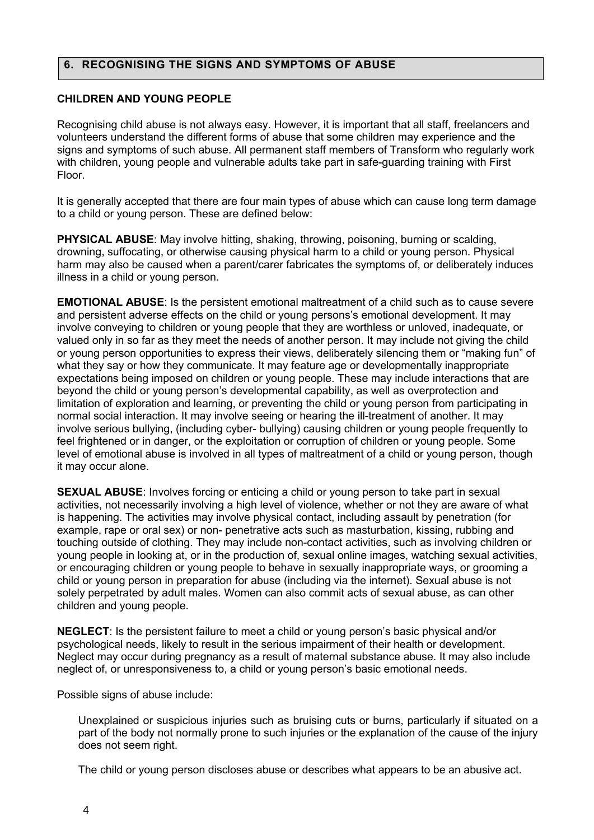### **6. RECOGNISING THE SIGNS AND SYMPTOMS OF ABUSE**

### **CHILDREN AND YOUNG PEOPLE**

Recognising child abuse is not always easy. However, it is important that all staff, freelancers and volunteers understand the different forms of abuse that some children may experience and the signs and symptoms of such abuse. All permanent staff members of Transform who regularly work with children, young people and vulnerable adults take part in safe-guarding training with First Floor.

It is generally accepted that there are four main types of abuse which can cause long term damage to a child or young person. These are defined below:

**PHYSICAL ABUSE**: May involve hitting, shaking, throwing, poisoning, burning or scalding, drowning, suffocating, or otherwise causing physical harm to a child or young person. Physical harm may also be caused when a parent/carer fabricates the symptoms of, or deliberately induces illness in a child or young person.

**EMOTIONAL ABUSE**: Is the persistent emotional maltreatment of a child such as to cause severe and persistent adverse effects on the child or young persons's emotional development. It may involve conveying to children or young people that they are worthless or unloved, inadequate, or valued only in so far as they meet the needs of another person. It may include not giving the child or young person opportunities to express their views, deliberately silencing them or "making fun" of what they say or how they communicate. It may feature age or developmentally inappropriate expectations being imposed on children or young people. These may include interactions that are beyond the child or young person's developmental capability, as well as overprotection and limitation of exploration and learning, or preventing the child or young person from participating in normal social interaction. It may involve seeing or hearing the ill-treatment of another. It may involve serious bullying, (including cyber- bullying) causing children or young people frequently to feel frightened or in danger, or the exploitation or corruption of children or young people. Some level of emotional abuse is involved in all types of maltreatment of a child or young person, though it may occur alone.

**SEXUAL ABUSE**: Involves forcing or enticing a child or young person to take part in sexual activities, not necessarily involving a high level of violence, whether or not they are aware of what is happening. The activities may involve physical contact, including assault by penetration (for example, rape or oral sex) or non- penetrative acts such as masturbation, kissing, rubbing and touching outside of clothing. They may include non-contact activities, such as involving children or young people in looking at, or in the production of, sexual online images, watching sexual activities, or encouraging children or young people to behave in sexually inappropriate ways, or grooming a child or young person in preparation for abuse (including via the internet). Sexual abuse is not solely perpetrated by adult males. Women can also commit acts of sexual abuse, as can other children and young people.

**NEGLECT**: Is the persistent failure to meet a child or young person's basic physical and/or psychological needs, likely to result in the serious impairment of their health or development. Neglect may occur during pregnancy as a result of maternal substance abuse. It may also include neglect of, or unresponsiveness to, a child or young person's basic emotional needs.

Possible signs of abuse include:

 Unexplained or suspicious injuries such as bruising cuts or burns, particularly if situated on a part of the body not normally prone to such injuries or the explanation of the cause of the injury does not seem right.

The child or young person discloses abuse or describes what appears to be an abusive act.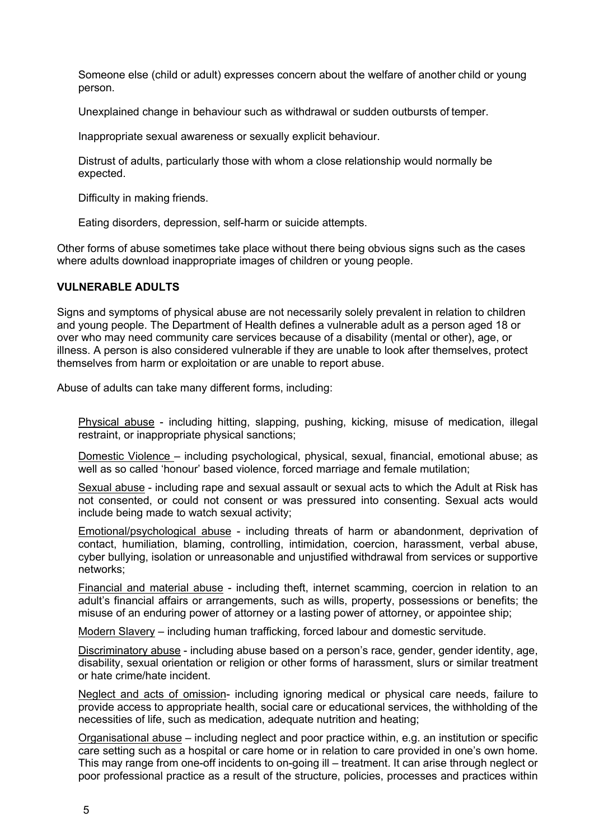Someone else (child or adult) expresses concern about the welfare of another child or young person.

Unexplained change in behaviour such as withdrawal or sudden outbursts of temper.

Inappropriate sexual awareness or sexually explicit behaviour.

 Distrust of adults, particularly those with whom a close relationship would normally be expected.

Difficulty in making friends.

Eating disorders, depression, self-harm or suicide attempts.

Other forms of abuse sometimes take place without there being obvious signs such as the cases where adults download inappropriate images of children or young people.

### **VULNERABLE ADULTS**

Signs and symptoms of physical abuse are not necessarily solely prevalent in relation to children and young people. The Department of Health defines a vulnerable adult as a person aged 18 or over who may need community care services because of a disability (mental or other), age, or illness. A person is also considered vulnerable if they are unable to look after themselves, protect themselves from harm or exploitation or are unable to report abuse.

Abuse of adults can take many different forms, including:

 Physical abuse - including hitting, slapping, pushing, kicking, misuse of medication, illegal restraint, or inappropriate physical sanctions;

 Domestic Violence – including psychological, physical, sexual, financial, emotional abuse; as well as so called 'honour' based violence, forced marriage and female mutilation;

 Sexual abuse - including rape and sexual assault or sexual acts to which the Adult at Risk has not consented, or could not consent or was pressured into consenting. Sexual acts would include being made to watch sexual activity;

 Emotional/psychological abuse - including threats of harm or abandonment, deprivation of contact, humiliation, blaming, controlling, intimidation, coercion, harassment, verbal abuse, cyber bullying, isolation or unreasonable and unjustified withdrawal from services or supportive networks;

 Financial and material abuse - including theft, internet scamming, coercion in relation to an adult's financial affairs or arrangements, such as wills, property, possessions or benefits; the misuse of an enduring power of attorney or a lasting power of attorney, or appointee ship;

Modern Slavery – including human trafficking, forced labour and domestic servitude.

 Discriminatory abuse - including abuse based on a person's race, gender, gender identity, age, disability, sexual orientation or religion or other forms of harassment, slurs or similar treatment or hate crime/hate incident.

 Neglect and acts of omission- including ignoring medical or physical care needs, failure to provide access to appropriate health, social care or educational services, the withholding of the necessities of life, such as medication, adequate nutrition and heating;

 Organisational abuse – including neglect and poor practice within, e.g. an institution or specific care setting such as a hospital or care home or in relation to care provided in one's own home. This may range from one-off incidents to on-going ill – treatment. It can arise through neglect or poor professional practice as a result of the structure, policies, processes and practices within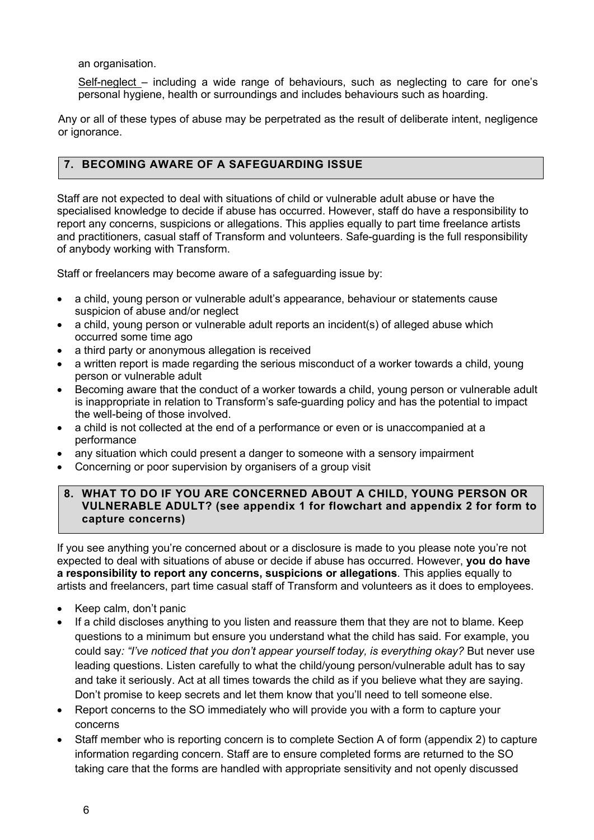an organisation.

 Self-neglect – including a wide range of behaviours, such as neglecting to care for one's personal hygiene, health or surroundings and includes behaviours such as hoarding.

Any or all of these types of abuse may be perpetrated as the result of deliberate intent, negligence or ignorance.

### **7. BECOMING AWARE OF A SAFEGUARDING ISSUE**

Staff are not expected to deal with situations of child or vulnerable adult abuse or have the specialised knowledge to decide if abuse has occurred. However, staff do have a responsibility to report any concerns, suspicions or allegations. This applies equally to part time freelance artists and practitioners, casual staff of Transform and volunteers. Safe-guarding is the full responsibility of anybody working with Transform.

Staff or freelancers may become aware of a safeguarding issue by:

- a child, young person or vulnerable adult's appearance, behaviour or statements cause suspicion of abuse and/or neglect
- a child, young person or vulnerable adult reports an incident(s) of alleged abuse which occurred some time ago
- a third party or anonymous allegation is received
- a written report is made regarding the serious misconduct of a worker towards a child, young person or vulnerable adult
- Becoming aware that the conduct of a worker towards a child, young person or vulnerable adult is inappropriate in relation to Transform's safe-guarding policy and has the potential to impact the well-being of those involved.
- a child is not collected at the end of a performance or even or is unaccompanied at a performance
- any situation which could present a danger to someone with a sensory impairment
- Concerning or poor supervision by organisers of a group visit

### **8. WHAT TO DO IF YOU ARE CONCERNED ABOUT A CHILD, YOUNG PERSON OR VULNERABLE ADULT? (see appendix 1 for flowchart and appendix 2 for form to capture concerns)**

If you see anything you're concerned about or a disclosure is made to you please note you're not expected to deal with situations of abuse or decide if abuse has occurred. However, **you do have a responsibility to report any concerns, suspicions or allegations**. This applies equally to artists and freelancers, part time casual staff of Transform and volunteers as it does to employees.

- Keep calm, don't panic
- If a child discloses anything to you listen and reassure them that they are not to blame. Keep questions to a minimum but ensure you understand what the child has said. For example, you could say: "I've noticed that you don't appear yourself today, is everything okay? But never use leading questions. Listen carefully to what the child/young person/vulnerable adult has to say and take it seriously. Act at all times towards the child as if you believe what they are saying. Don't promise to keep secrets and let them know that you'll need to tell someone else.
- Report concerns to the SO immediately who will provide you with a form to capture your concerns
- Staff member who is reporting concern is to complete Section A of form (appendix 2) to capture information regarding concern. Staff are to ensure completed forms are returned to the SO taking care that the forms are handled with appropriate sensitivity and not openly discussed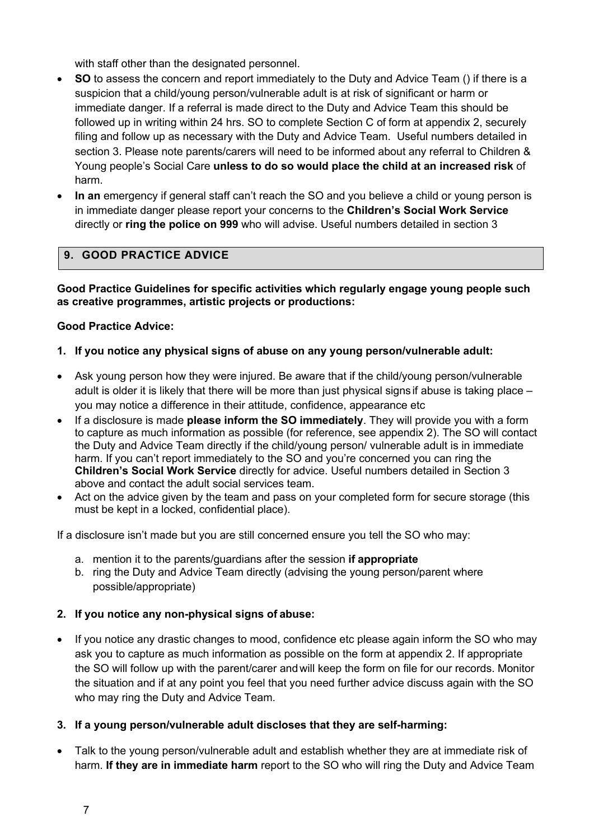with staff other than the designated personnel.

- **SO** to assess the concern and report immediately to the Duty and Advice Team () if there is a suspicion that a child/young person/vulnerable adult is at risk of significant or harm or immediate danger. If a referral is made direct to the Duty and Advice Team this should be followed up in writing within 24 hrs. SO to complete Section C of form at appendix 2, securely filing and follow up as necessary with the Duty and Advice Team. Useful numbers detailed in section 3. Please note parents/carers will need to be informed about any referral to Children & Young people's Social Care **unless to do so would place the child at an increased risk** of harm.
- **In an** emergency if general staff can't reach the SO and you believe a child or young person is in immediate danger please report your concerns to the **Children's Social Work Service**  directly or **ring the police on 999** who will advise. Useful numbers detailed in section 3

# **9. GOOD PRACTICE ADVICE**

**Good Practice Guidelines for specific activities which regularly engage young people such as creative programmes, artistic projects or productions:**

### **Good Practice Advice:**

### **1. If you notice any physical signs of abuse on any young person/vulnerable adult:**

- Ask young person how they were injured. Be aware that if the child/young person/vulnerable adult is older it is likely that there will be more than just physical signs if abuse is taking place – you may notice a difference in their attitude, confidence, appearance etc
- If a disclosure is made **please inform the SO immediately**. They will provide you with a form to capture as much information as possible (for reference, see appendix 2). The SO will contact the Duty and Advice Team directly if the child/young person/ vulnerable adult is in immediate harm. If you can't report immediately to the SO and you're concerned you can ring the **Children's Social Work Service** directly for advice. Useful numbers detailed in Section 3 above and contact the adult social services team.
- Act on the advice given by the team and pass on your completed form for secure storage (this must be kept in a locked, confidential place).

If a disclosure isn't made but you are still concerned ensure you tell the SO who may:

- a. mention it to the parents/guardians after the session **if appropriate**
- b. ring the Duty and Advice Team directly (advising the young person/parent where possible/appropriate)

### **2. If you notice any non-physical signs of abuse:**

• If you notice any drastic changes to mood, confidence etc please again inform the SO who may ask you to capture as much information as possible on the form at appendix 2. If appropriate the SO will follow up with the parent/carer andwill keep the form on file for our records. Monitor the situation and if at any point you feel that you need further advice discuss again with the SO who may ring the Duty and Advice Team.

### **3. If a young person/vulnerable adult discloses that they are self-harming:**

• Talk to the young person/vulnerable adult and establish whether they are at immediate risk of harm. **If they are in immediate harm** report to the SO who will ring the Duty and Advice Team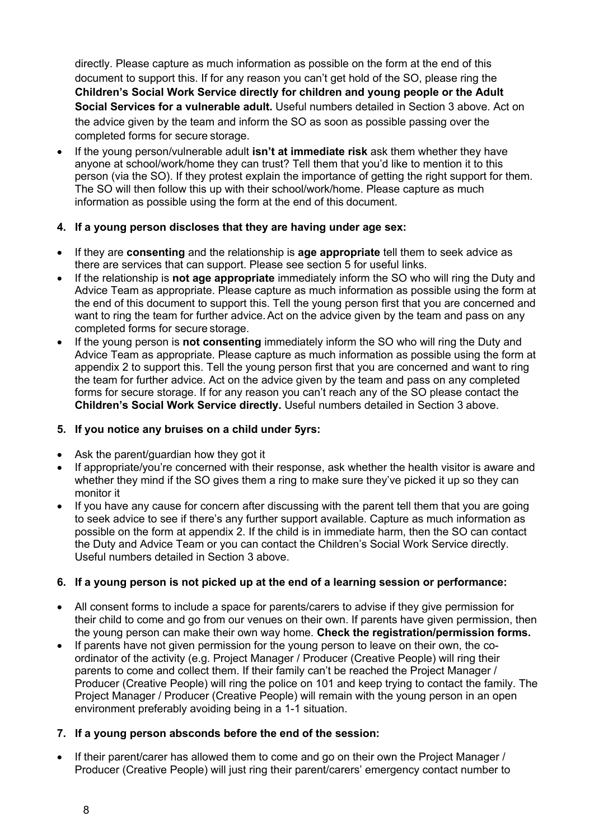directly. Please capture as much information as possible on the form at the end of this document to support this. If for any reason you can't get hold of the SO, please ring the **Children's Social Work Service directly for children and young people or the Adult Social Services for a vulnerable adult.** Useful numbers detailed in Section 3 above. Act on the advice given by the team and inform the SO as soon as possible passing over the completed forms for secure storage.

• If the young person/vulnerable adult **isn't at immediate risk** ask them whether they have anyone at school/work/home they can trust? Tell them that you'd like to mention it to this person (via the SO). If they protest explain the importance of getting the right support for them. The SO will then follow this up with their school/work/home. Please capture as much information as possible using the form at the end of this document.

### **4. If a young person discloses that they are having under age sex:**

- If they are **consenting** and the relationship is **age appropriate** tell them to seek advice as there are services that can support. Please see section 5 for useful links.
- If the relationship is **not age appropriate** immediately inform the SO who will ring the Duty and Advice Team as appropriate. Please capture as much information as possible using the form at the end of this document to support this. Tell the young person first that you are concerned and want to ring the team for further advice. Act on the advice given by the team and pass on any completed forms for secure storage.
- If the young person is **not consenting** immediately inform the SO who will ring the Duty and Advice Team as appropriate. Please capture as much information as possible using the form at appendix 2 to support this. Tell the young person first that you are concerned and want to ring the team for further advice. Act on the advice given by the team and pass on any completed forms for secure storage. If for any reason you can't reach any of the SO please contact the **Children's Social Work Service directly.** Useful numbers detailed in Section 3 above.

### **5. If you notice any bruises on a child under 5yrs:**

- Ask the parent/guardian how they got it
- If appropriate/you're concerned with their response, ask whether the health visitor is aware and whether they mind if the SO gives them a ring to make sure they've picked it up so they can monitor it
- If you have any cause for concern after discussing with the parent tell them that you are going to seek advice to see if there's any further support available. Capture as much information as possible on the form at appendix 2. If the child is in immediate harm, then the SO can contact the Duty and Advice Team or you can contact the Children's Social Work Service directly. Useful numbers detailed in Section 3 above.

### **6. If a young person is not picked up at the end of a learning session or performance:**

- All consent forms to include a space for parents/carers to advise if they give permission for their child to come and go from our venues on their own. If parents have given permission, then the young person can make their own way home. **Check the registration/permission forms.**
- If parents have not given permission for the young person to leave on their own, the coordinator of the activity (e.g. Project Manager / Producer (Creative People) will ring their parents to come and collect them. If their family can't be reached the Project Manager / Producer (Creative People) will ring the police on 101 and keep trying to contact the family. The Project Manager / Producer (Creative People) will remain with the young person in an open environment preferably avoiding being in a 1-1 situation.

### **7. If a young person absconds before the end of the session:**

• If their parent/carer has allowed them to come and go on their own the Project Manager / Producer (Creative People) will just ring their parent/carers' emergency contact number to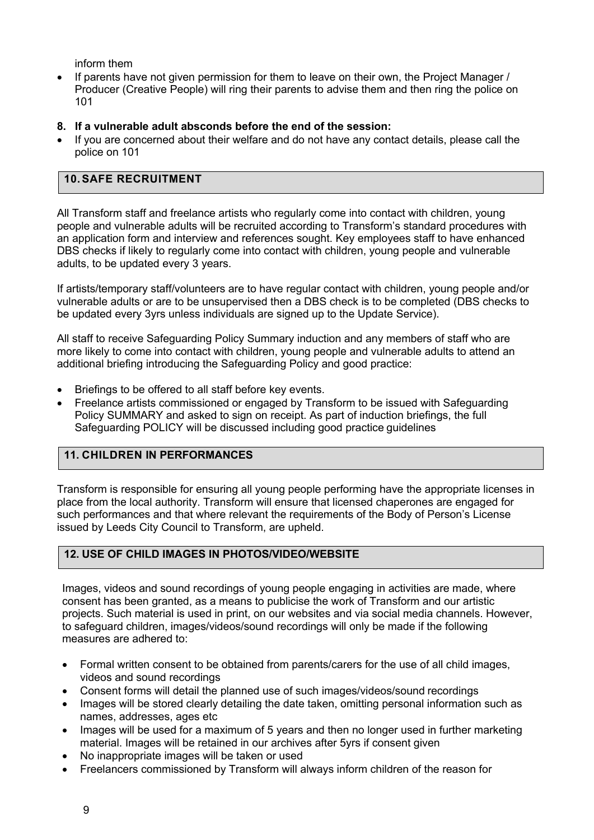inform them

- If parents have not given permission for them to leave on their own, the Project Manager / Producer (Creative People) will ring their parents to advise them and then ring the police on 101
- **8. If a vulnerable adult absconds before the end of the session:**
- If you are concerned about their welfare and do not have any contact details, please call the police on 101

### **10.SAFE RECRUITMENT**

All Transform staff and freelance artists who regularly come into contact with children, young people and vulnerable adults will be recruited according to Transform's standard procedures with an application form and interview and references sought. Key employees staff to have enhanced DBS checks if likely to regularly come into contact with children, young people and vulnerable adults, to be updated every 3 years.

If artists/temporary staff/volunteers are to have regular contact with children, young people and/or vulnerable adults or are to be unsupervised then a DBS check is to be completed (DBS checks to be updated every 3yrs unless individuals are signed up to the Update Service).

All staff to receive Safeguarding Policy Summary induction and any members of staff who are more likely to come into contact with children, young people and vulnerable adults to attend an additional briefing introducing the Safeguarding Policy and good practice:

- Briefings to be offered to all staff before key events.
- Freelance artists commissioned or engaged by Transform to be issued with Safeguarding Policy SUMMARY and asked to sign on receipt. As part of induction briefings, the full Safeguarding POLICY will be discussed including good practice guidelines

### **11. CHILDREN IN PERFORMANCES**

Transform is responsible for ensuring all young people performing have the appropriate licenses in place from the local authority. Transform will ensure that licensed chaperones are engaged for such performances and that where relevant the requirements of the Body of Person's License issued by Leeds City Council to Transform, are upheld.

### **12. USE OF CHILD IMAGES IN PHOTOS/VIDEO/WEBSITE**

Images, videos and sound recordings of young people engaging in activities are made, where consent has been granted, as a means to publicise the work of Transform and our artistic projects. Such material is used in print, on our websites and via social media channels. However, to safeguard children, images/videos/sound recordings will only be made if the following measures are adhered to:

- Formal written consent to be obtained from parents/carers for the use of all child images, videos and sound recordings
- Consent forms will detail the planned use of such images/videos/sound recordings
- Images will be stored clearly detailing the date taken, omitting personal information such as names, addresses, ages etc
- Images will be used for a maximum of 5 years and then no longer used in further marketing material. Images will be retained in our archives after 5yrs if consent given
- No inappropriate images will be taken or used
- Freelancers commissioned by Transform will always inform children of the reason for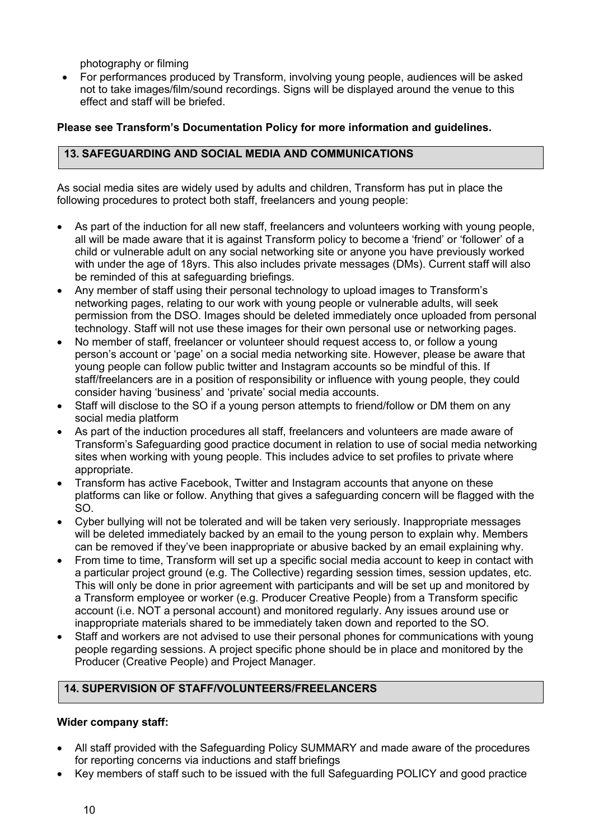photography or filming

• For performances produced by Transform, involving young people, audiences will be asked not to take images/film/sound recordings. Signs will be displayed around the venue to this effect and staff will be briefed.

### **Please see Transform's Documentation Policy for more information and guidelines.**

### **13. SAFEGUARDING AND SOCIAL MEDIA AND COMMUNICATIONS**

As social media sites are widely used by adults and children, Transform has put in place the following procedures to protect both staff, freelancers and young people:

- As part of the induction for all new staff, freelancers and volunteers working with young people, all will be made aware that it is against Transform policy to become a 'friend' or 'follower' of a child or vulnerable adult on any social networking site or anyone you have previously worked with under the age of 18yrs. This also includes private messages (DMs). Current staff will also be reminded of this at safeguarding briefings.
- Any member of staff using their personal technology to upload images to Transform's networking pages, relating to our work with young people or vulnerable adults, will seek permission from the DSO. Images should be deleted immediately once uploaded from personal technology. Staff will not use these images for their own personal use or networking pages.
- No member of staff, freelancer or volunteer should request access to, or follow a young person's account or 'page' on a social media networking site. However, please be aware that young people can follow public twitter and Instagram accounts so be mindful of this. If staff/freelancers are in a position of responsibility or influence with young people, they could consider having 'business' and 'private' social media accounts.
- Staff will disclose to the SO if a young person attempts to friend/follow or DM them on any social media platform
- As part of the induction procedures all staff, freelancers and volunteers are made aware of Transform's Safeguarding good practice document in relation to use of social media networking sites when working with young people. This includes advice to set profiles to private where appropriate.
- Transform has active Facebook, Twitter and Instagram accounts that anyone on these platforms can like or follow. Anything that gives a safeguarding concern will be flagged with the SO.
- Cyber bullying will not be tolerated and will be taken very seriously. Inappropriate messages will be deleted immediately backed by an email to the young person to explain why. Members can be removed if they've been inappropriate or abusive backed by an email explaining why.
- From time to time, Transform will set up a specific social media account to keep in contact with a particular project ground (e.g. The Collective) regarding session times, session updates, etc. This will only be done in prior agreement with participants and will be set up and monitored by a Transform employee or worker (e.g. Producer Creative People) from a Transform specific account (i.e. NOT a personal account) and monitored regularly. Any issues around use or inappropriate materials shared to be immediately taken down and reported to the SO.
- Staff and workers are not advised to use their personal phones for communications with young people regarding sessions. A project specific phone should be in place and monitored by the Producer (Creative People) and Project Manager.

# **14. SUPERVISION OF STAFF/VOLUNTEERS/FREELANCERS**

### **Wider company staff:**

- All staff provided with the Safeguarding Policy SUMMARY and made aware of the procedures for reporting concerns via inductions and staff briefings
- Key members of staff such to be issued with the full Safeguarding POLICY and good practice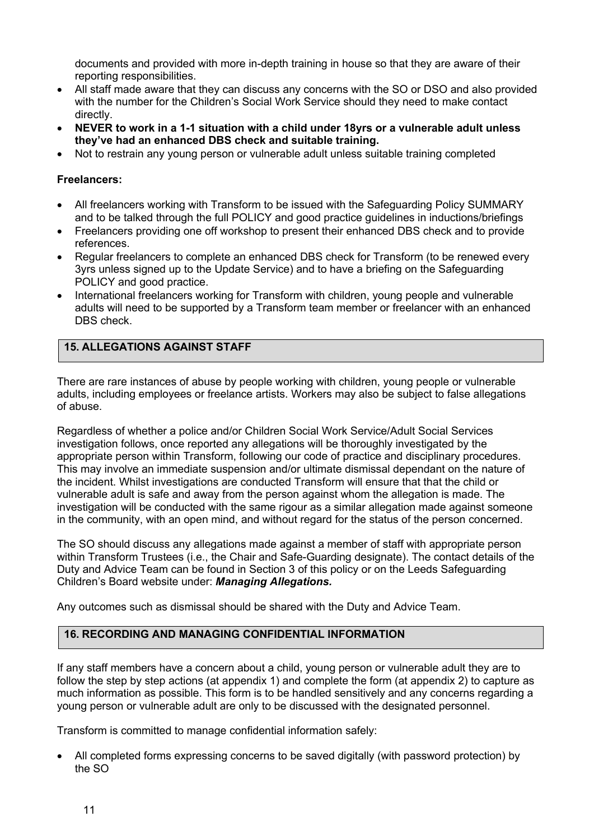documents and provided with more in-depth training in house so that they are aware of their reporting responsibilities.

- All staff made aware that they can discuss any concerns with the SO or DSO and also provided with the number for the Children's Social Work Service should they need to make contact directly.
- **NEVER to work in a 1-1 situation with a child under 18yrs or a vulnerable adult unless they've had an enhanced DBS check and suitable training.**
- Not to restrain any young person or vulnerable adult unless suitable training completed

### **Freelancers:**

- All freelancers working with Transform to be issued with the Safeguarding Policy SUMMARY and to be talked through the full POLICY and good practice guidelines in inductions/briefings
- Freelancers providing one off workshop to present their enhanced DBS check and to provide references.
- Regular freelancers to complete an enhanced DBS check for Transform (to be renewed every 3yrs unless signed up to the Update Service) and to have a briefing on the Safeguarding POLICY and good practice.
- International freelancers working for Transform with children, young people and vulnerable adults will need to be supported by a Transform team member or freelancer with an enhanced DBS check.

## **15. ALLEGATIONS AGAINST STAFF**

There are rare instances of abuse by people working with children, young people or vulnerable adults, including employees or freelance artists. Workers may also be subject to false allegations of abuse.

Regardless of whether a police and/or Children Social Work Service/Adult Social Services investigation follows, once reported any allegations will be thoroughly investigated by the appropriate person within Transform, following our code of practice and disciplinary procedures. This may involve an immediate suspension and/or ultimate dismissal dependant on the nature of the incident. Whilst investigations are conducted Transform will ensure that that the child or vulnerable adult is safe and away from the person against whom the allegation is made. The investigation will be conducted with the same rigour as a similar allegation made against someone in the community, with an open mind, and without regard for the status of the person concerned.

The SO should discuss any allegations made against a member of staff with appropriate person within Transform Trustees (i.e., the Chair and Safe-Guarding designate). The contact details of the Duty and Advice Team can be found in Section 3 of this policy or on the Leeds Safeguarding Children's Board website under: *Managing Allegations.*

Any outcomes such as dismissal should be shared with the Duty and Advice Team.

### **16. RECORDING AND MANAGING CONFIDENTIAL INFORMATION**

If any staff members have a concern about a child, young person or vulnerable adult they are to follow the step by step actions (at appendix 1) and complete the form (at appendix 2) to capture as much information as possible. This form is to be handled sensitively and any concerns regarding a young person or vulnerable adult are only to be discussed with the designated personnel.

Transform is committed to manage confidential information safely:

• All completed forms expressing concerns to be saved digitally (with password protection) by the SO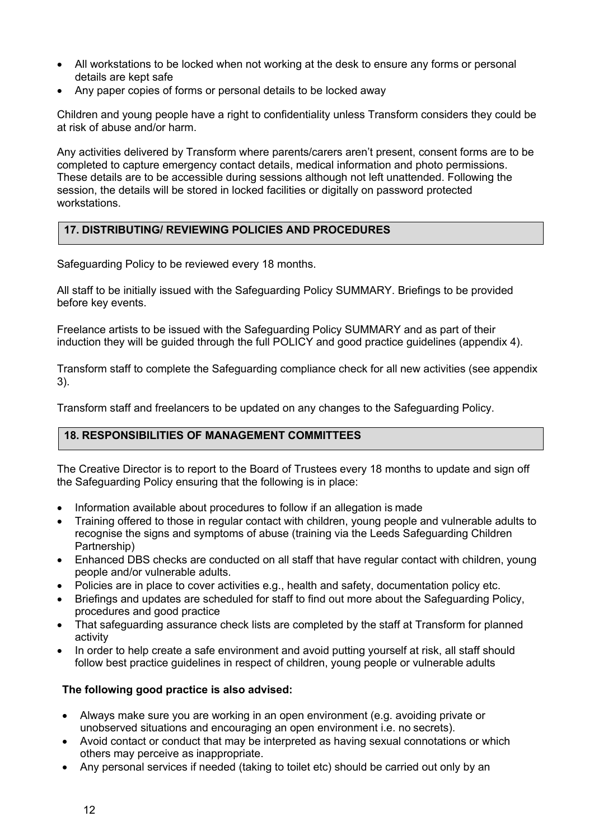- All workstations to be locked when not working at the desk to ensure any forms or personal details are kept safe
- Any paper copies of forms or personal details to be locked away

Children and young people have a right to confidentiality unless Transform considers they could be at risk of abuse and/or harm.

Any activities delivered by Transform where parents/carers aren't present, consent forms are to be completed to capture emergency contact details, medical information and photo permissions. These details are to be accessible during sessions although not left unattended. Following the session, the details will be stored in locked facilities or digitally on password protected workstations.

# **17. DISTRIBUTING/ REVIEWING POLICIES AND PROCEDURES**

Safeguarding Policy to be reviewed every 18 months.

All staff to be initially issued with the Safeguarding Policy SUMMARY. Briefings to be provided before key events.

Freelance artists to be issued with the Safeguarding Policy SUMMARY and as part of their induction they will be guided through the full POLICY and good practice guidelines (appendix 4).

Transform staff to complete the Safeguarding compliance check for all new activities (see appendix 3).

Transform staff and freelancers to be updated on any changes to the Safeguarding Policy.

### **18. RESPONSIBILITIES OF MANAGEMENT COMMITTEES**

The Creative Director is to report to the Board of Trustees every 18 months to update and sign off the Safeguarding Policy ensuring that the following is in place:

- Information available about procedures to follow if an allegation is made
- Training offered to those in regular contact with children, young people and vulnerable adults to recognise the signs and symptoms of abuse (training via the Leeds Safeguarding Children Partnership)
- Enhanced DBS checks are conducted on all staff that have regular contact with children, young people and/or vulnerable adults.
- Policies are in place to cover activities e.g., health and safety, documentation policy etc.
- Briefings and updates are scheduled for staff to find out more about the Safeguarding Policy, procedures and good practice
- That safeguarding assurance check lists are completed by the staff at Transform for planned activity
- In order to help create a safe environment and avoid putting yourself at risk, all staff should follow best practice guidelines in respect of children, young people or vulnerable adults

### **The following good practice is also advised:**

- Always make sure you are working in an open environment (e.g. avoiding private or unobserved situations and encouraging an open environment i.e. no secrets).
- Avoid contact or conduct that may be interpreted as having sexual connotations or which others may perceive as inappropriate.
- Any personal services if needed (taking to toilet etc) should be carried out only by an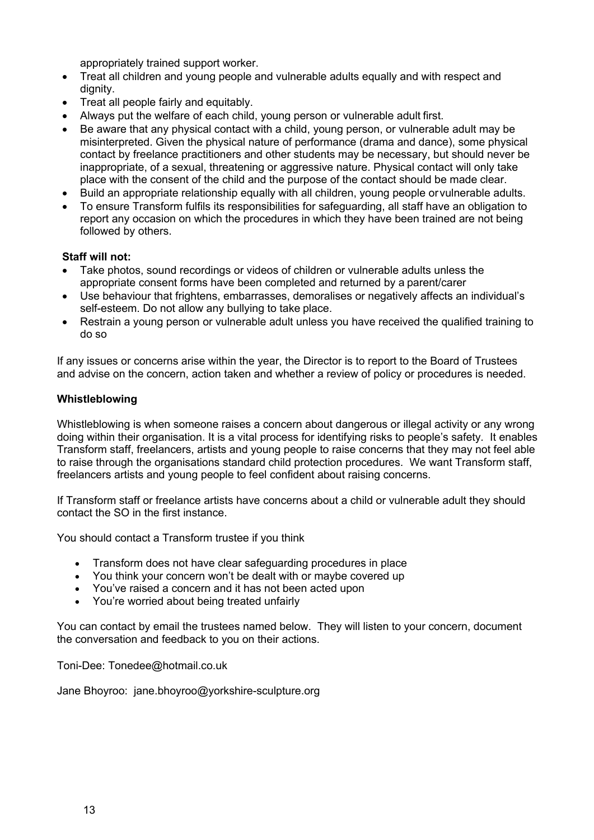appropriately trained support worker.

- Treat all children and young people and vulnerable adults equally and with respect and dignity.
- Treat all people fairly and equitably.
- Always put the welfare of each child, young person or vulnerable adult first.
- Be aware that any physical contact with a child, young person, or vulnerable adult may be misinterpreted. Given the physical nature of performance (drama and dance), some physical contact by freelance practitioners and other students may be necessary, but should never be inappropriate, of a sexual, threatening or aggressive nature. Physical contact will only take place with the consent of the child and the purpose of the contact should be made clear.
- Build an appropriate relationship equally with all children, young people orvulnerable adults.
- To ensure Transform fulfils its responsibilities for safeguarding, all staff have an obligation to report any occasion on which the procedures in which they have been trained are not being followed by others.

### **Staff will not:**

- Take photos, sound recordings or videos of children or vulnerable adults unless the appropriate consent forms have been completed and returned by a parent/carer
- Use behaviour that frightens, embarrasses, demoralises or negatively affects an individual's self-esteem. Do not allow any bullying to take place.
- Restrain a young person or vulnerable adult unless you have received the qualified training to do so

If any issues or concerns arise within the year, the Director is to report to the Board of Trustees and advise on the concern, action taken and whether a review of policy or procedures is needed.

#### **Whistleblowing**

Whistleblowing is when someone raises a concern about dangerous or illegal activity or any wrong doing within their organisation. It is a vital process for identifying risks to people's safety*.* It enables Transform staff, freelancers, artists and young people to raise concerns that they may not feel able to raise through the organisations standard child protection procedures.We want Transform staff, freelancers artists and young people to feel confident about raising concerns.

If Transform staff or freelance artists have concerns about a child or vulnerable adult they should contact the SO in the first instance.

You should contact a Transform trustee if you think

- Transform does not have clear safeguarding procedures in place
- You think your concern won't be dealt with or maybe covered up
- You've raised a concern and it has not been acted upon
- You're worried about being treated unfairly

You can contact by email the trustees named below. They will listen to your concern, document the conversation and feedback to you on their actions.

Toni-Dee: Tonedee@hotmail.co.uk

Jane Bhoyroo: jane.bhoyroo@yorkshire-sculpture.org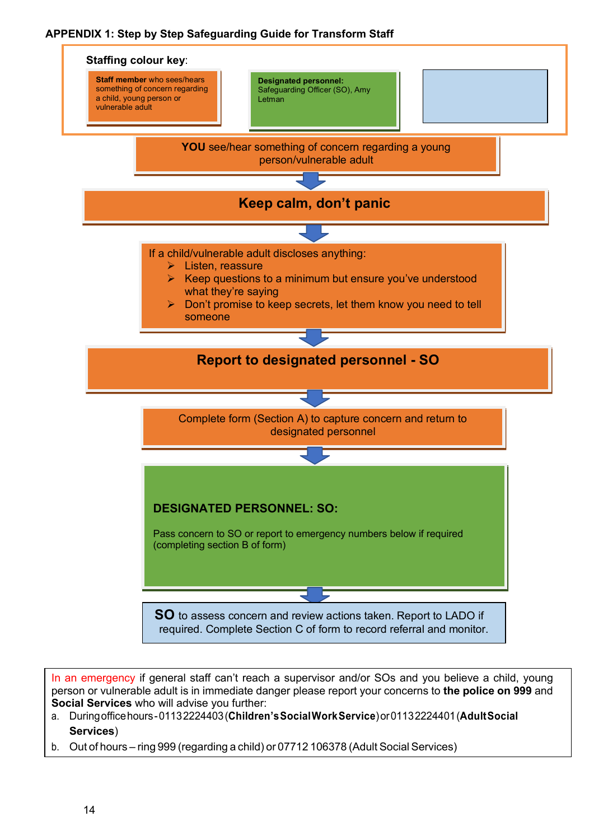## **APPENDIX 1: Step by Step Safeguarding Guide for Transform Staff**



In an emergency if general staff can't reach a supervisor and/or SOs and you believe a child, young person or vulnerable adult is in immediate danger please report your concerns to **the police on 999** and **Social Services** who will advise you further:

- a. Duringofficehours-01132224403(**Children'sSocialWorkService**)or01132224401(**AdultSocial Services**)
- b. Out of hours ring 999 (regarding a child) or 07712 106378 (Adult Social Services)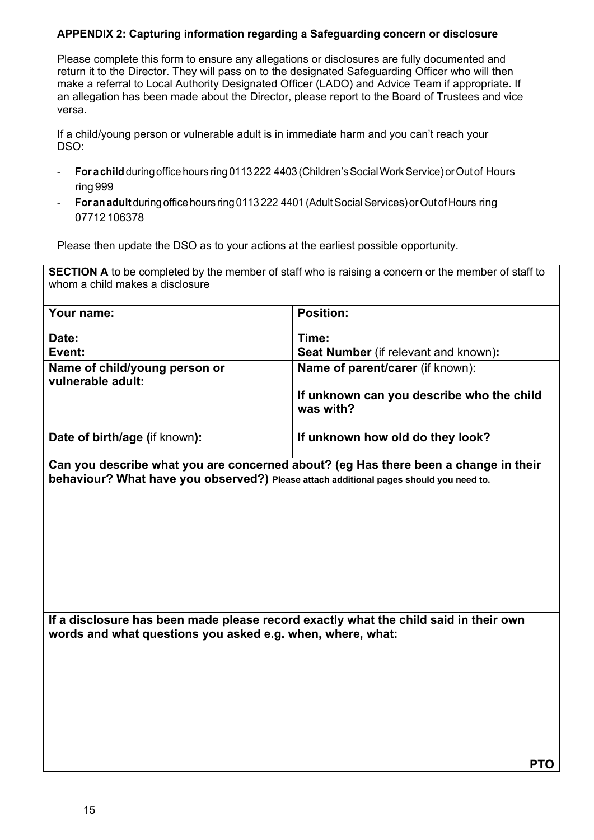### **APPENDIX 2: Capturing information regarding a Safeguarding concern or disclosure**

Please complete this form to ensure any allegations or disclosures are fully documented and return it to the Director. They will pass on to the designated Safeguarding Officer who will then make a referral to Local Authority Designated Officer (LADO) and Advice Team if appropriate. If an allegation has been made about the Director, please report to the Board of Trustees and vice versa.

If a child/young person or vulnerable adult is in immediate harm and you can't reach your DSO:

- **For a child** duringoffice hours ring0113 222 4403 (Children'sSocialWorkService)orOutof Hours ring 999
- **For anadult** during office hours ring 0113 222 4401 (AdultSocialServices) orOutof Hours ring 07712 106378

Please then update the DSO as to your actions at the earliest possible opportunity.

**SECTION A** to be completed by the member of staff who is raising a concern or the member of staff to whom a child makes a disclosure

| Your name:                                         | <b>Position:</b>                                       |
|----------------------------------------------------|--------------------------------------------------------|
| Date:                                              | Time:                                                  |
| Event:                                             | Seat Number (if relevant and known):                   |
| Name of child/young person or<br>vulnerable adult: | <b>Name of parent/carer (if known):</b>                |
|                                                    | If unknown can you describe who the child<br>was with? |
| Date of birth/age (if known):                      | If unknown how old do they look?                       |

**Can you describe what you are concerned about? (eg Has there been a change in their behaviour? What have you observed?) Please attach additional pages should you need to.**

**If a disclosure has been made please record exactly what the child said in their own words and what questions you asked e.g. when, where, what:**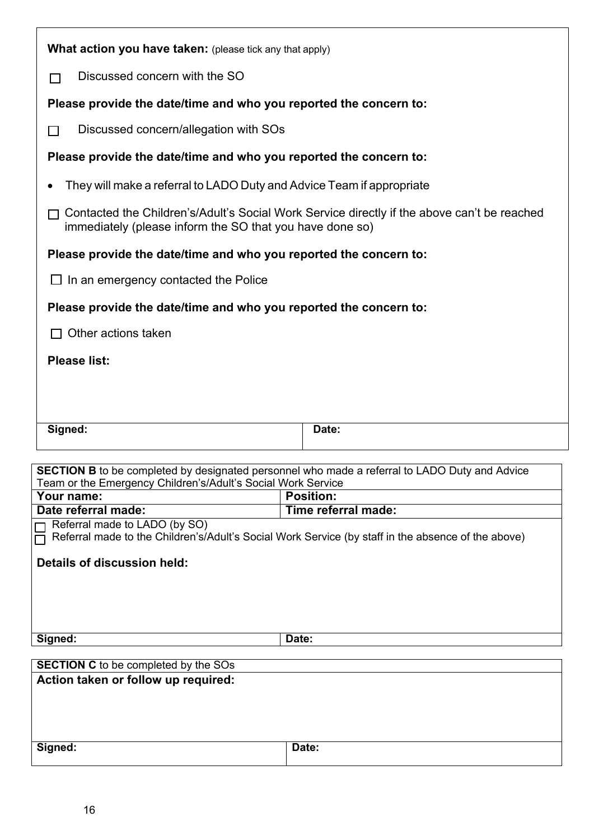| <b>What action you have taken:</b> (please tick any that apply)                                                                                                      |                     |  |  |  |
|----------------------------------------------------------------------------------------------------------------------------------------------------------------------|---------------------|--|--|--|
| Discussed concern with the SO                                                                                                                                        |                     |  |  |  |
|                                                                                                                                                                      |                     |  |  |  |
| Please provide the date/time and who you reported the concern to:                                                                                                    |                     |  |  |  |
| Discussed concern/allegation with SOs<br><b>Contract</b>                                                                                                             |                     |  |  |  |
| Please provide the date/time and who you reported the concern to:                                                                                                    |                     |  |  |  |
| They will make a referral to LADO Duty and Advice Team if appropriate                                                                                                |                     |  |  |  |
| Contacted the Children's/Adult's Social Work Service directly if the above can't be reached<br>immediately (please inform the SO that you have done so)              |                     |  |  |  |
| Please provide the date/time and who you reported the concern to:                                                                                                    |                     |  |  |  |
| $\Box$ In an emergency contacted the Police                                                                                                                          |                     |  |  |  |
| Please provide the date/time and who you reported the concern to:                                                                                                    |                     |  |  |  |
| Other actions taken                                                                                                                                                  |                     |  |  |  |
| <b>Please list:</b>                                                                                                                                                  |                     |  |  |  |
|                                                                                                                                                                      |                     |  |  |  |
|                                                                                                                                                                      |                     |  |  |  |
| Signed:                                                                                                                                                              | Date:               |  |  |  |
|                                                                                                                                                                      |                     |  |  |  |
| <b>SECTION B</b> to be completed by designated personnel who made a referral to LADO Duty and Advice<br>Team or the Emergency Children's/Adult's Social Work Service |                     |  |  |  |
| Your name:                                                                                                                                                           | <b>Position:</b>    |  |  |  |
| Date referral made:                                                                                                                                                  | Time referral made: |  |  |  |
| Referral made to LADO (by SO)<br>Referral made to the Children's/Adult's Social Work Service (by staff in the absence of the above)                                  |                     |  |  |  |
| Details of discussion held:                                                                                                                                          |                     |  |  |  |
|                                                                                                                                                                      |                     |  |  |  |
|                                                                                                                                                                      |                     |  |  |  |
| Signed:                                                                                                                                                              | Date:               |  |  |  |
|                                                                                                                                                                      |                     |  |  |  |
| <b>SECTION C</b> to be completed by the SOs                                                                                                                          |                     |  |  |  |
| Action taken or follow up required:                                                                                                                                  |                     |  |  |  |
|                                                                                                                                                                      |                     |  |  |  |
| Signed:                                                                                                                                                              | Date:               |  |  |  |
|                                                                                                                                                                      |                     |  |  |  |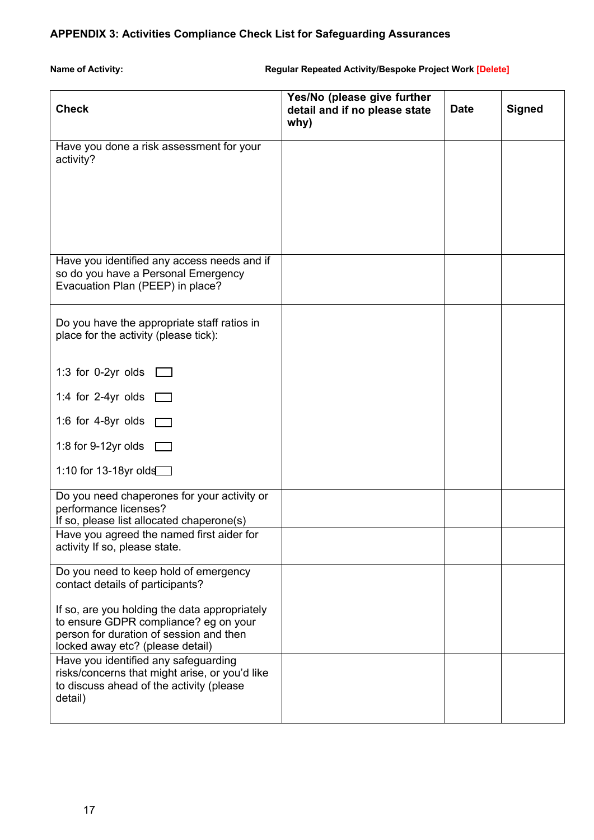# **APPENDIX 3: Activities Compliance Check List for Safeguarding Assurances**

**Name of Activity: Regular Repeated Activity/Bespoke Project Work [Delete]** 

| <b>Check</b>                                                                                                                                                          | Yes/No (please give further<br>detail and if no please state<br>why) | <b>Date</b> | <b>Signed</b> |
|-----------------------------------------------------------------------------------------------------------------------------------------------------------------------|----------------------------------------------------------------------|-------------|---------------|
| Have you done a risk assessment for your<br>activity?                                                                                                                 |                                                                      |             |               |
|                                                                                                                                                                       |                                                                      |             |               |
| Have you identified any access needs and if<br>so do you have a Personal Emergency<br>Evacuation Plan (PEEP) in place?                                                |                                                                      |             |               |
| Do you have the appropriate staff ratios in<br>place for the activity (please tick):                                                                                  |                                                                      |             |               |
| 1:3 for 0-2yr olds $\Box$                                                                                                                                             |                                                                      |             |               |
| 1:4 for 2-4yr olds $\square$                                                                                                                                          |                                                                      |             |               |
| 1:6 for 4-8yr olds                                                                                                                                                    |                                                                      |             |               |
| 1:8 for 9-12yr olds                                                                                                                                                   |                                                                      |             |               |
| 1:10 for 13-18yr olds                                                                                                                                                 |                                                                      |             |               |
| Do you need chaperones for your activity or<br>performance licenses?<br>If so, please list allocated chaperone(s)                                                     |                                                                      |             |               |
| Have you agreed the named first aider for<br>activity If so, please state.                                                                                            |                                                                      |             |               |
| Do you need to keep hold of emergency<br>contact details of participants?                                                                                             |                                                                      |             |               |
| If so, are you holding the data appropriately<br>to ensure GDPR compliance? eg on your<br>person for duration of session and then<br>locked away etc? (please detail) |                                                                      |             |               |
| Have you identified any safeguarding<br>risks/concerns that might arise, or you'd like<br>to discuss ahead of the activity (please<br>detail)                         |                                                                      |             |               |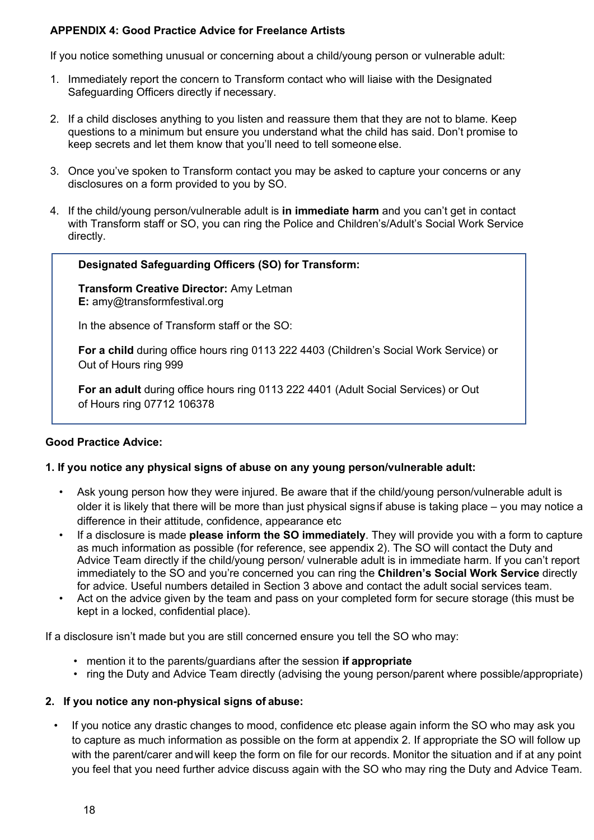### **APPENDIX 4: Good Practice Advice for Freelance Artists**

If you notice something unusual or concerning about a child/young person or vulnerable adult:

- 1. Immediately report the concern to Transform contact who will liaise with the Designated Safeguarding Officers directly if necessary.
- 2. If a child discloses anything to you listen and reassure them that they are not to blame. Keep questions to a minimum but ensure you understand what the child has said. Don't promise to keep secrets and let them know that you'll need to tell someone else.
- 3. Once you've spoken to Transform contact you may be asked to capture your concerns or any disclosures on a form provided to you by SO.
- 4. If the child/young person/vulnerable adult is **in immediate harm** and you can't get in contact with Transform staff or SO, you can ring the Police and Children's/Adult's Social Work Service directly.

### **Designated Safeguarding Officers (SO) for Transform:**

**Transform Creative Director:** Amy Letman **E:** amy@transformfestival.org

In the absence of Transform staff or the SO:

**For a child** during office hours ring 0113 222 4403 (Children's Social Work Service) or Out of Hours ring 999

**For an adult** during office hours ring 0113 222 4401 (Adult Social Services) or Out of Hours ring 07712 106378

### **Good Practice Advice:**

### **1. If you notice any physical signs of abuse on any young person/vulnerable adult:**

- Ask young person how they were injured. Be aware that if the child/young person/vulnerable adult is older it is likely that there will be more than just physical signs if abuse is taking place – you may notice a difference in their attitude, confidence, appearance etc
- If a disclosure is made **please inform the SO immediately**. They will provide you with a form to capture as much information as possible (for reference, see appendix 2). The SO will contact the Duty and Advice Team directly if the child/young person/ vulnerable adult is in immediate harm. If you can't report immediately to the SO and you're concerned you can ring the **Children's Social Work Service** directly for advice. Useful numbers detailed in Section 3 above and contact the adult social services team.
- Act on the advice given by the team and pass on your completed form for secure storage (this must be kept in a locked, confidential place).

If a disclosure isn't made but you are still concerned ensure you tell the SO who may:

- mention it to the parents/guardians after the session **if appropriate**
- ring the Duty and Advice Team directly (advising the young person/parent where possible/appropriate)

### **2. If you notice any non-physical signs of abuse:**

If you notice any drastic changes to mood, confidence etc please again inform the SO who may ask you to capture as much information as possible on the form at appendix 2. If appropriate the SO will follow up with the parent/carer andwill keep the form on file for our records. Monitor the situation and if at any point you feel that you need further advice discuss again with the SO who may ring the Duty and Advice Team.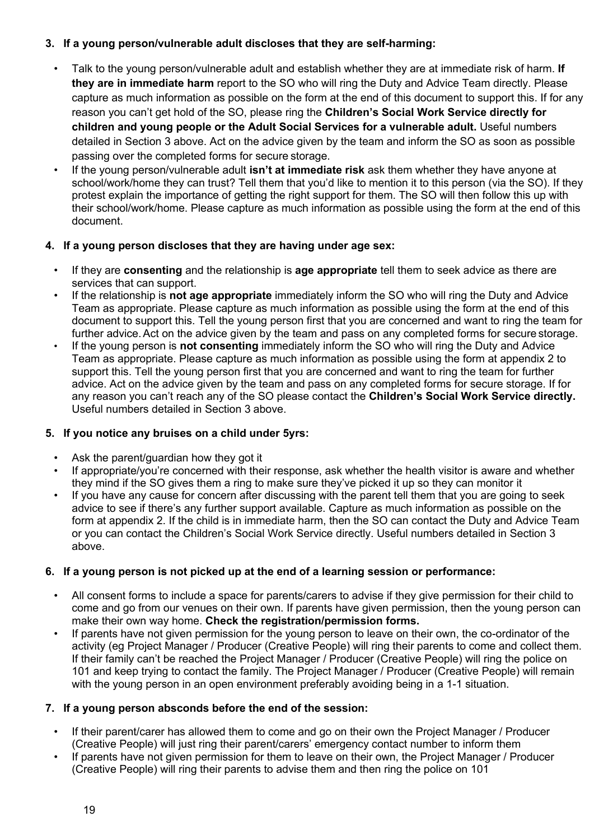### **3. If a young person/vulnerable adult discloses that they are self-harming:**

- Talk to the young person/vulnerable adult and establish whether they are at immediate risk of harm. **If they are in immediate harm** report to the SO who will ring the Duty and Advice Team directly. Please capture as much information as possible on the form at the end of this document to support this. If for any reason you can't get hold of the SO, please ring the **Children's Social Work Service directly for children and young people or the Adult Social Services for a vulnerable adult.** Useful numbers detailed in Section 3 above. Act on the advice given by the team and inform the SO as soon as possible passing over the completed forms for secure storage.
- If the young person/vulnerable adult **isn't at immediate risk** ask them whether they have anyone at school/work/home they can trust? Tell them that you'd like to mention it to this person (via the SO). If they protest explain the importance of getting the right support for them. The SO will then follow this up with their school/work/home. Please capture as much information as possible using the form at the end of this document.

### **4. If a young person discloses that they are having under age sex:**

- If they are **consenting** and the relationship is **age appropriate** tell them to seek advice as there are services that can support.
- If the relationship is **not age appropriate** immediately inform the SO who will ring the Duty and Advice Team as appropriate. Please capture as much information as possible using the form at the end of this document to support this. Tell the young person first that you are concerned and want to ring the team for further advice.Act on the advice given by the team and pass on any completed forms for secure storage.
- If the young person is **not consenting** immediately inform the SO who will ring the Duty and Advice Team as appropriate. Please capture as much information as possible using the form at appendix 2 to support this. Tell the young person first that you are concerned and want to ring the team for further advice. Act on the advice given by the team and pass on any completed forms for secure storage. If for any reason you can't reach any of the SO please contact the **Children's Social Work Service directly.**  Useful numbers detailed in Section 3 above.

### **5. If you notice any bruises on a child under 5yrs:**

- Ask the parent/guardian how they got it
- If appropriate/you're concerned with their response, ask whether the health visitor is aware and whether they mind if the SO gives them a ring to make sure they've picked it up so they can monitor it
- If you have any cause for concern after discussing with the parent tell them that you are going to seek advice to see if there's any further support available. Capture as much information as possible on the form at appendix 2. If the child is in immediate harm, then the SO can contact the Duty and Advice Team or you can contact the Children's Social Work Service directly. Useful numbers detailed in Section 3 above.

### **6. If a young person is not picked up at the end of a learning session or performance:**

- All consent forms to include a space for parents/carers to advise if they give permission for their child to come and go from our venues on their own. If parents have given permission, then the young person can make their own way home. **Check the registration/permission forms.**
- If parents have not given permission for the young person to leave on their own, the co-ordinator of the activity (eg Project Manager / Producer (Creative People) will ring their parents to come and collect them. If their family can't be reached the Project Manager / Producer (Creative People) will ring the police on 101 and keep trying to contact the family. The Project Manager / Producer (Creative People) will remain with the young person in an open environment preferably avoiding being in a 1-1 situation.

### **7. If a young person absconds before the end of the session:**

- If their parent/carer has allowed them to come and go on their own the Project Manager / Producer (Creative People) will just ring their parent/carers' emergency contact number to inform them
- If parents have not given permission for them to leave on their own, the Project Manager / Producer (Creative People) will ring their parents to advise them and then ring the police on 101